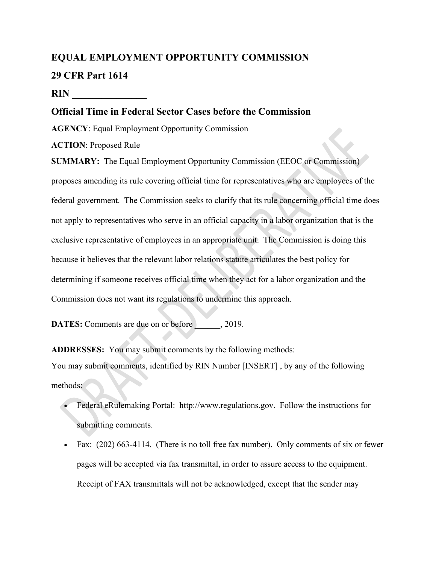# **EQUAL EMPLOYMENT OPPORTUNITY COMMISSION 29 CFR Part 1614**

#### **RIN \_\_\_\_\_\_\_\_\_\_\_\_\_\_\_**

## **Official Time in Federal Sector Cases before the Commission**

**AGENCY**: Equal Employment Opportunity Commission

**ACTION**: Proposed Rule

**SUMMARY:** The Equal Employment Opportunity Commission (EEOC or Commission) proposes amending its rule covering official time for representatives who are employees of the federal government. The Commission seeks to clarify that its rule concerning official time does not apply to representatives who serve in an official capacity in a labor organization that is the exclusive representative of employees in an appropriate unit. The Commission is doing this because it believes that the relevant labor relations statute articulates the best policy for determining if someone receives official time when they act for a labor organization and the Commission does not want its regulations to undermine this approach.

**DATES:** Comments are due on or before  $\qquad \qquad$ , 2019.

**ADDRESSES:** You may submit comments by the following methods: You may submit comments, identified by RIN Number [INSERT] , by any of the following methods:

- Federal eRulemaking Portal: http://www.regulations.gov. Follow the instructions for submitting comments.
- Fax: (202) 663-4114. (There is no toll free fax number). Only comments of six or fewer pages will be accepted via fax transmittal, in order to assure access to the equipment. Receipt of FAX transmittals will not be acknowledged, except that the sender may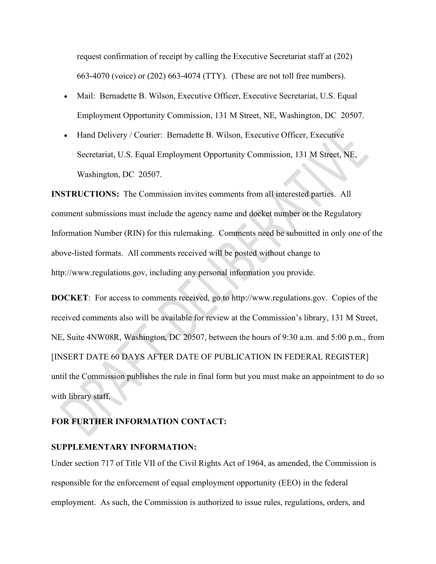request confirmation of receipt by calling the Executive Secretariat staff at (202) 663-4070 (voice) or (202) 663-4074 (TTY). (These are not toll free numbers).

- Mail: Bernadette B. Wilson, Executive Officer, Executive Secretariat, U.S. Equal Employment Opportunity Commission, 131 M Street, NE, Washington, DC 20507.
- Hand Delivery / Courier: Bernadette B. Wilson, Executive Officer, Executive Secretariat, U.S. Equal Employment Opportunity Commission, 131 M Street, NE, Washington, DC 20507.

**INSTRUCTIONS:** The Commission invites comments from all interested parties. All comment submissions must include the agency name and docket number or the Regulatory Information Number (RIN) for this rulemaking. Comments need be submitted in only one of the above-listed formats. All comments received will be posted without change to http://www.regulations.gov, including any personal information you provide.

**DOCKET**: For access to comments received, go to http://www.regulations.gov. Copies of the received comments also will be available for review at the Commission's library, 131 M Street, NE, Suite 4NW08R, Washington, DC 20507, between the hours of 9:30 a.m. and 5:00 p.m., from [INSERT DATE 60 DAYS AFTER DATE OF PUBLICATION IN FEDERAL REGISTER] until the Commission publishes the rule in final form but you must make an appointment to do so with library staff.

## **FOR FURTHER INFORMATION CONTACT:**

## **SUPPLEMENTARY INFORMATION:**

Under section 717 of Title VII of the Civil Rights Act of 1964, as amended, the Commission is responsible for the enforcement of equal employment opportunity (EEO) in the federal employment. As such, the Commission is authorized to issue rules, regulations, orders, and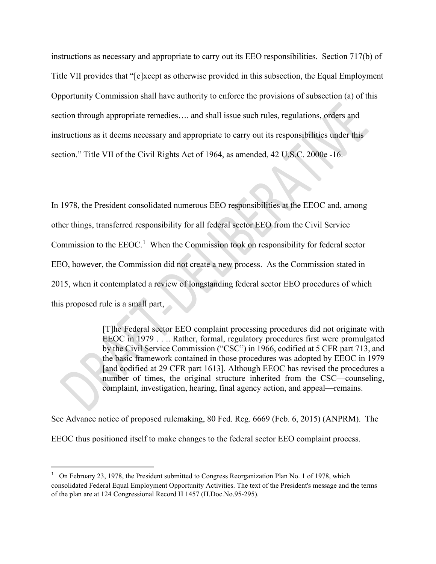instructions as necessary and appropriate to carry out its EEO responsibilities. Section 717(b) of Title VII provides that "[e]xcept as otherwise provided in this subsection, the Equal Employment Opportunity Commission shall have authority to enforce the provisions of subsection (a) of this section through appropriate remedies…. and shall issue such rules, regulations, orders and instructions as it deems necessary and appropriate to carry out its responsibilities under this section." Title VII of the Civil Rights Act of 1964, as amended, 42 U.S.C. 2000e -16.

In 1978, the President consolidated numerous EEO responsibilities at the EEOC and, among other things, transferred responsibility for all federal sector EEO from the Civil Service Commission to the  $EEOC<sup>1</sup>$  $EEOC<sup>1</sup>$  $EEOC<sup>1</sup>$ . When the Commission took on responsibility for federal sector EEO, however, the Commission did not create a new process. As the Commission stated in 2015, when it contemplated a review of longstanding federal sector EEO procedures of which this proposed rule is a small part,

> [T]he Federal sector EEO complaint processing procedures did not originate with EEOC in 1979 . . .. Rather, formal, regulatory procedures first were promulgated by the Civil Service Commission ("CSC") in 1966, codified at 5 CFR part 713, and the basic framework contained in those procedures was adopted by EEOC in 1979 [and codified at 29 CFR part 1613]. Although EEOC has revised the procedures a number of times, the original structure inherited from the CSC—counseling, complaint, investigation, hearing, final agency action, and appeal—remains.

See Advance notice of proposed rulemaking, 80 Fed. Reg. 6669 (Feb. 6, 2015) (ANPRM). The EEOC thus positioned itself to make changes to the federal sector EEO complaint process.

<span id="page-2-0"></span><sup>&</sup>lt;sup>1</sup> On February 23, 1978, the President submitted to Congress Reorganization Plan No. 1 of 1978, which consolidated Federal Equal Employment Opportunity Activities. The text of the President's message and the terms of the plan are at 124 Congressional Record H 1457 (H.Doc.No.95-295).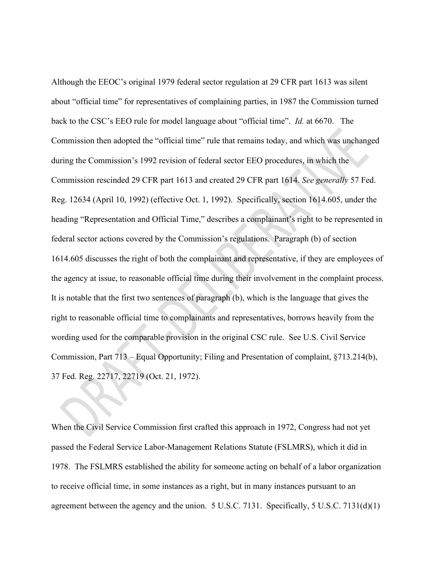Although the EEOC's original 1979 federal sector regulation at 29 CFR part 1613 was silent about "official time" for representatives of complaining parties, in 1987 the Commission turned back to the CSC's EEO rule for model language about "official time". *Id.* at 6670. The Commission then adopted the "official time" rule that remains today, and which was unchanged during the Commission's 1992 revision of federal sector EEO procedures, in which the Commission rescinded 29 CFR part 1613 and created 29 CFR part 1614. *See generally* 57 Fed. Reg. 12634 (April 10, 1992) (effective Oct. 1, 1992). Specifically, section 1614.605, under the heading "Representation and Official Time," describes a complainant's right to be represented in federal sector actions covered by the Commission's regulations. Paragraph (b) of section 1614.605 discusses the right of both the complainant and representative, if they are employees of the agency at issue, to reasonable official time during their involvement in the complaint process. It is notable that the first two sentences of paragraph (b), which is the language that gives the right to reasonable official time to complainants and representatives, borrows heavily from the wording used for the comparable provision in the original CSC rule. See U.S. Civil Service Commission, Part 713 – Equal Opportunity; Filing and Presentation of complaint, §713.214(b), 37 Fed. Reg. 22717, 22719 (Oct. 21, 1972).

When the Civil Service Commission first crafted this approach in 1972, Congress had not yet passed the Federal Service Labor-Management Relations Statute (FSLMRS), which it did in 1978. The FSLMRS established the ability for someone acting on behalf of a labor organization to receive official time, in some instances as a right, but in many instances pursuant to an agreement between the agency and the union. 5 U.S.C. 7131. Specifically, 5 U.S.C. 7131(d)(1)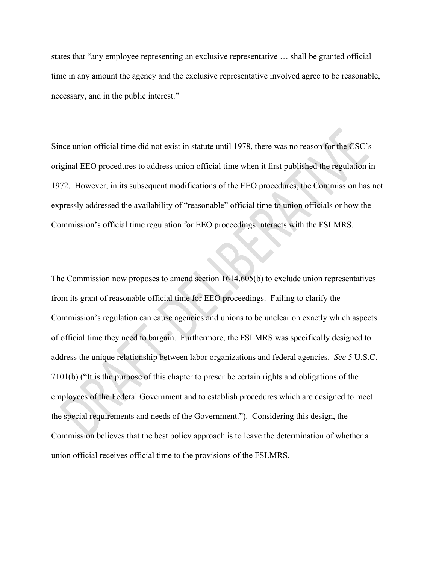states that "any employee representing an exclusive representative … shall be granted official time in any amount the agency and the exclusive representative involved agree to be reasonable, necessary, and in the public interest."

Since union official time did not exist in statute until 1978, there was no reason for the CSC's original EEO procedures to address union official time when it first published the regulation in 1972. However, in its subsequent modifications of the EEO procedures, the Commission has not expressly addressed the availability of "reasonable" official time to union officials or how the Commission's official time regulation for EEO proceedings interacts with the FSLMRS.

The Commission now proposes to amend section 1614.605(b) to exclude union representatives from its grant of reasonable official time for EEO proceedings. Failing to clarify the Commission's regulation can cause agencies and unions to be unclear on exactly which aspects of official time they need to bargain. Furthermore, the FSLMRS was specifically designed to address the unique relationship between labor organizations and federal agencies. *See* 5 U.S.C. 7101(b) ("It is the purpose of this chapter to prescribe certain rights and obligations of the employees of the Federal Government and to establish procedures which are designed to meet the special requirements and needs of the Government."). Considering this design, the Commission believes that the best policy approach is to leave the determination of whether a union official receives official time to the provisions of the FSLMRS.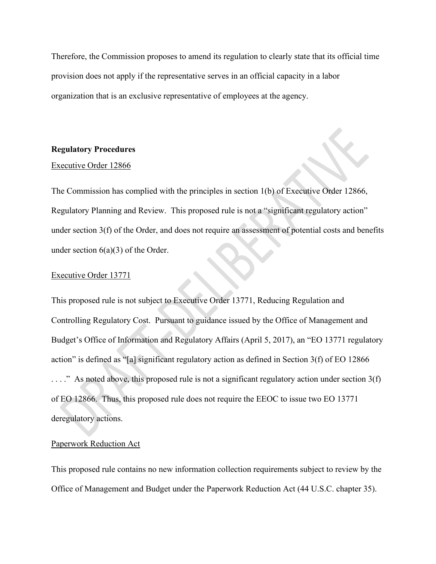Therefore, the Commission proposes to amend its regulation to clearly state that its official time provision does not apply if the representative serves in an official capacity in a labor organization that is an exclusive representative of employees at the agency.

#### **Regulatory Procedures**

#### Executive Order 12866

The Commission has complied with the principles in section 1(b) of Executive Order 12866, Regulatory Planning and Review. This proposed rule is not a "significant regulatory action" under section 3(f) of the Order, and does not require an assessment of potential costs and benefits under section  $6(a)(3)$  of the Order.

#### Executive Order 13771

This proposed rule is not subject to Executive Order 13771, Reducing Regulation and Controlling Regulatory Cost. Pursuant to guidance issued by the Office of Management and Budget's Office of Information and Regulatory Affairs (April 5, 2017), an "EO 13771 regulatory action" is defined as "[a] significant regulatory action as defined in Section 3(f) of EO 12866  $\ldots$ ." As noted above, this proposed rule is not a significant regulatory action under section 3(f) of EO 12866. Thus, this proposed rule does not require the EEOC to issue two EO 13771 deregulatory actions.

#### Paperwork Reduction Act

This proposed rule contains no new information collection requirements subject to review by the Office of Management and Budget under the Paperwork Reduction Act (44 U.S.C. chapter 35).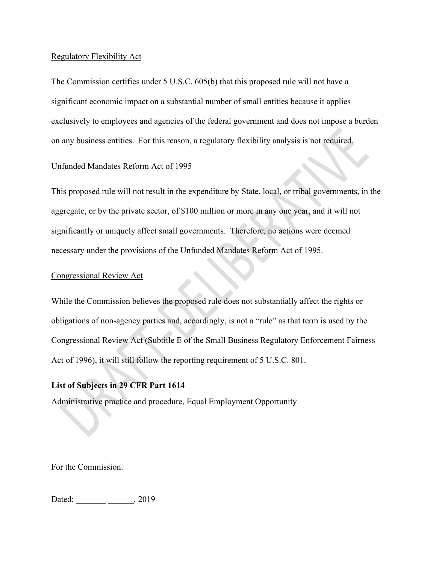#### Regulatory Flexibility Act

The Commission certifies under 5 U.S.C. 605(b) that this proposed rule will not have a significant economic impact on a substantial number of small entities because it applies exclusively to employees and agencies of the federal government and does not impose a burden on any business entities. For this reason, a regulatory flexibility analysis is not required.

### Unfunded Mandates Reform Act of 1995

This proposed rule will not result in the expenditure by State, local, or tribal governments, in the aggregate, or by the private sector, of \$100 million or more in any one year, and it will not significantly or uniquely affect small governments. Therefore, no actions were deemed necessary under the provisions of the Unfunded Mandates Reform Act of 1995.

### Congressional Review Act

While the Commission believes the proposed rule does not substantially affect the rights or obligations of non-agency parties and, accordingly, is not a "rule" as that term is used by the Congressional Review Act (Subtitle E of the Small Business Regulatory Enforcement Fairness Act of 1996), it will still follow the reporting requirement of 5 U.S.C. 801.

## **List of Subjects in 29 CFR Part 1614**

Administrative practice and procedure, Equal Employment Opportunity

For the Commission.

Dated: \_\_\_\_\_\_\_\_\_\_\_\_\_\_\_\_\_\_\_\_\_\_\_, 2019